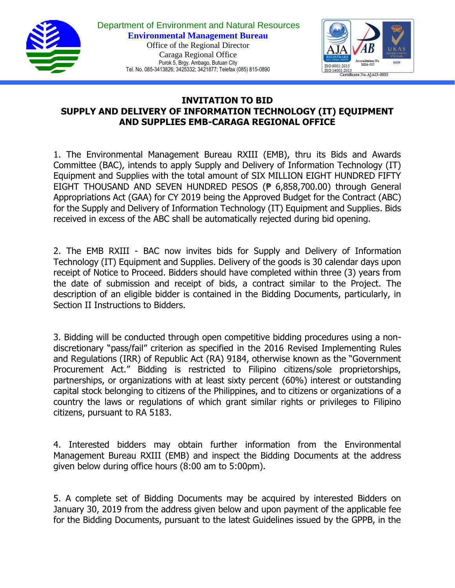



## **INVITATION TO BID SUPPLY AND DELIVERY OF INFORMATION TECHNOLOGY (IT) EQUIPMENT AND SUPPLIES EMB-CARAGA REGIONAL OFFICE**

1. The Environmental Management Bureau RXIII (EMB), thru its Bids and Awards Committee (BAC), intends to apply Supply and Delivery of Information Technology (IT) Equipment and Supplies with the total amount of SIX MILLION EIGHT HUNDRED FIFTY EIGHT THOUSAND AND SEVEN HUNDRED PESOS (₱ 6,858,700.00) through General Appropriations Act (GAA) for CY 2019 being the Approved Budget for the Contract (ABC) for the Supply and Delivery of Information Technology (IT) Equipment and Supplies. Bids received in excess of the ABC shall be automatically rejected during bid opening.

2. The EMB RXIII - BAC now invites bids for Supply and Delivery of Information Technology (IT) Equipment and Supplies. Delivery of the goods is 30 calendar days upon receipt of Notice to Proceed. Bidders should have completed within three (3) years from the date of submission and receipt of bids, a contract similar to the Project. The description of an eligible bidder is contained in the Bidding Documents, particularly, in Section II Instructions to Bidders.

3. Bidding will be conducted through open competitive bidding procedures using a nondiscretionary "pass/fail" criterion as specified in the 2016 Revised Implementing Rules and Regulations (IRR) of Republic Act (RA) 9184, otherwise known as the "Government Procurement Act." Bidding is restricted to Filipino citizens/sole proprietorships, partnerships, or organizations with at least sixty percent (60%) interest or outstanding capital stock belonging to citizens of the Philippines, and to citizens or organizations of a country the laws or regulations of which grant similar rights or privileges to Filipino citizens, pursuant to RA 5183.

4. Interested bidders may obtain further information from the Environmental Management Bureau RXIII (EMB) and inspect the Bidding Documents at the address given below during office hours (8:00 am to 5:00pm).

5. A complete set of Bidding Documents may be acquired by interested Bidders on January 30, 2019 from the address given below and upon payment of the applicable fee for the Bidding Documents, pursuant to the latest Guidelines issued by the GPPB, in the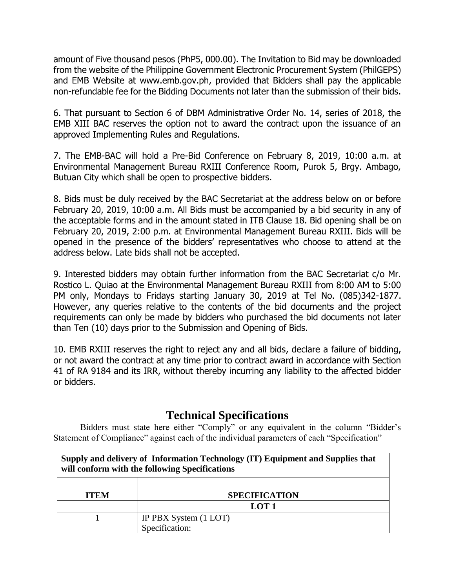amount of Five thousand pesos (PhP5, 000.00). The Invitation to Bid may be downloaded from the website of the Philippine Government Electronic Procurement System (PhilGEPS) and EMB Website at www.emb.gov.ph, provided that Bidders shall pay the applicable non-refundable fee for the Bidding Documents not later than the submission of their bids.

6. That pursuant to Section 6 of DBM Administrative Order No. 14, series of 2018, the EMB XIII BAC reserves the option not to award the contract upon the issuance of an approved Implementing Rules and Regulations.

7. The EMB-BAC will hold a Pre-Bid Conference on February 8, 2019, 10:00 a.m. at Environmental Management Bureau RXIII Conference Room, Purok 5, Brgy. Ambago, Butuan City which shall be open to prospective bidders.

8. Bids must be duly received by the BAC Secretariat at the address below on or before February 20, 2019, 10:00 a.m. All Bids must be accompanied by a bid security in any of the acceptable forms and in the amount stated in ITB Clause 18. Bid opening shall be on February 20, 2019, 2:00 p.m. at Environmental Management Bureau RXIII. Bids will be opened in the presence of the bidders' representatives who choose to attend at the address below. Late bids shall not be accepted.

9. Interested bidders may obtain further information from the BAC Secretariat c/o Mr. Rostico L. Quiao at the Environmental Management Bureau RXIII from 8:00 AM to 5:00 PM only, Mondays to Fridays starting January 30, 2019 at Tel No. (085)342-1877. However, any queries relative to the contents of the bid documents and the project requirements can only be made by bidders who purchased the bid documents not later than Ten (10) days prior to the Submission and Opening of Bids.

10. EMB RXIII reserves the right to reject any and all bids, declare a failure of bidding, or not award the contract at any time prior to contract award in accordance with Section 41 of RA 9184 and its IRR, without thereby incurring any liability to the affected bidder or bidders.

## **Technical Specifications**

Bidders must state here either "Comply" or any equivalent in the column "Bidder's Statement of Compliance" against each of the individual parameters of each "Specification"

| Supply and delivery of Information Technology (IT) Equipment and Supplies that<br>will conform with the following Specifications |                       |
|----------------------------------------------------------------------------------------------------------------------------------|-----------------------|
|                                                                                                                                  |                       |
| <b>ITEM</b>                                                                                                                      | <b>SPECIFICATION</b>  |
|                                                                                                                                  | LOT <sub>1</sub>      |
|                                                                                                                                  | IP PBX System (1 LOT) |
|                                                                                                                                  | Specification:        |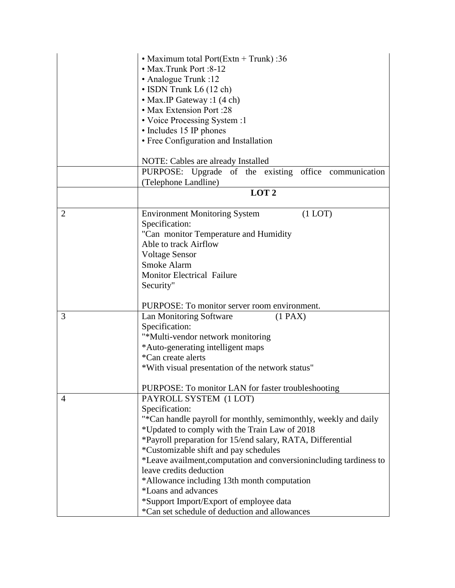| • Max.Trunk Port :8-12<br>• Analogue Trunk :12<br>• ISDN Trunk L6 (12 ch)<br>• Max. IP Gateway : 1 (4 ch)<br>• Max Extension Port :28<br>• Voice Processing System :1<br>• Includes 15 IP phones<br>• Free Configuration and Installation                                                                                                                                                                                                                                                                     |
|---------------------------------------------------------------------------------------------------------------------------------------------------------------------------------------------------------------------------------------------------------------------------------------------------------------------------------------------------------------------------------------------------------------------------------------------------------------------------------------------------------------|
| NOTE: Cables are already Installed                                                                                                                                                                                                                                                                                                                                                                                                                                                                            |
| PURPOSE: Upgrade of the existing office communication<br>(Telephone Landline)                                                                                                                                                                                                                                                                                                                                                                                                                                 |
| LOT <sub>2</sub>                                                                                                                                                                                                                                                                                                                                                                                                                                                                                              |
| $(1$ LOT $)$<br><b>Environment Monitoring System</b><br>Specification:<br>"Can monitor Temperature and Humidity<br>Able to track Airflow<br><b>Voltage Sensor</b><br>Smoke Alarm<br><b>Monitor Electrical Failure</b><br>Security"                                                                                                                                                                                                                                                                            |
| PURPOSE: To monitor server room environment.                                                                                                                                                                                                                                                                                                                                                                                                                                                                  |
| Lan Monitoring Software<br>(1 PAX)<br>Specification:<br>"*Multi-vendor network monitoring<br>*Auto-generating intelligent maps<br>*Can create alerts<br>*With visual presentation of the network status"                                                                                                                                                                                                                                                                                                      |
| PURPOSE: To monitor LAN for faster troubleshooting<br>PAYROLL SYSTEM (1 LOT)                                                                                                                                                                                                                                                                                                                                                                                                                                  |
| Specification:<br>"*Can handle payroll for monthly, semimonthly, weekly and daily<br>*Updated to comply with the Train Law of 2018<br>*Payroll preparation for 15/end salary, RATA, Differential<br>*Customizable shift and pay schedules<br>*Leave availment, computation and conversion including tardiness to<br>leave credits deduction<br>*Allowance including 13th month computation<br>*Loans and advances<br>*Support Import/Export of employee data<br>*Can set schedule of deduction and allowances |
|                                                                                                                                                                                                                                                                                                                                                                                                                                                                                                               |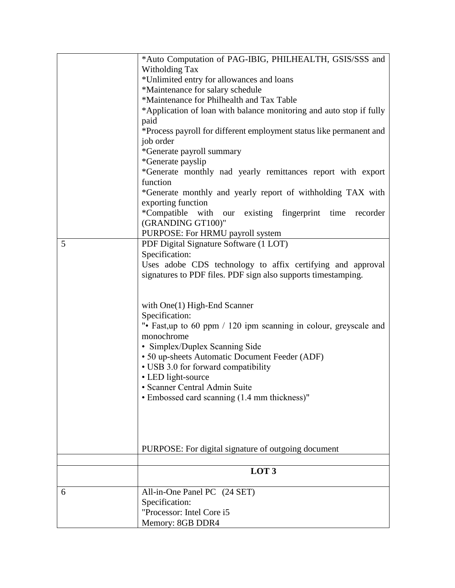|    | *Auto Computation of PAG-IBIG, PHILHEALTH, GSIS/SSS and             |
|----|---------------------------------------------------------------------|
|    | Witholding Tax                                                      |
|    | *Unlimited entry for allowances and loans                           |
|    | *Maintenance for salary schedule                                    |
|    | *Maintenance for Philhealth and Tax Table                           |
|    | *Application of loan with balance monitoring and auto stop if fully |
|    | paid                                                                |
|    | *Process payroll for different employment status like permanent and |
|    | job order                                                           |
|    | *Generate payroll summary                                           |
|    | *Generate payslip                                                   |
|    | *Generate monthly nad yearly remittances report with export         |
|    | function                                                            |
|    | *Generate monthly and yearly report of withholding TAX with         |
|    | exporting function                                                  |
|    | *Compatible with our existing fingerprint time recorder             |
|    |                                                                     |
|    | (GRANDING GT100)"                                                   |
|    | PURPOSE: For HRMU payroll system                                    |
| 5  | PDF Digital Signature Software (1 LOT)                              |
|    | Specification:                                                      |
|    | Uses adobe CDS technology to affix certifying and approval          |
|    | signatures to PDF files. PDF sign also supports timestamping.       |
|    |                                                                     |
|    |                                                                     |
|    | with $One(1) High-End Scanner$                                      |
|    | Specification:                                                      |
|    | "• Fast, up to 60 ppm / 120 ipm scanning in colour, greyscale and   |
|    | monochrome                                                          |
|    | · Simplex/Duplex Scanning Side                                      |
|    | • 50 up-sheets Automatic Document Feeder (ADF)                      |
|    | • USB 3.0 for forward compatibility                                 |
|    | • LED light-source                                                  |
|    | · Scanner Central Admin Suite                                       |
|    | • Embossed card scanning (1.4 mm thickness)"                        |
|    |                                                                     |
|    |                                                                     |
|    |                                                                     |
|    |                                                                     |
|    | PURPOSE: For digital signature of outgoing document                 |
|    |                                                                     |
|    | LOT <sub>3</sub>                                                    |
|    |                                                                     |
| -6 | All-in-One Panel PC (24 SET)                                        |
|    | Specification:                                                      |
|    |                                                                     |
|    | "Processor: Intel Core i5                                           |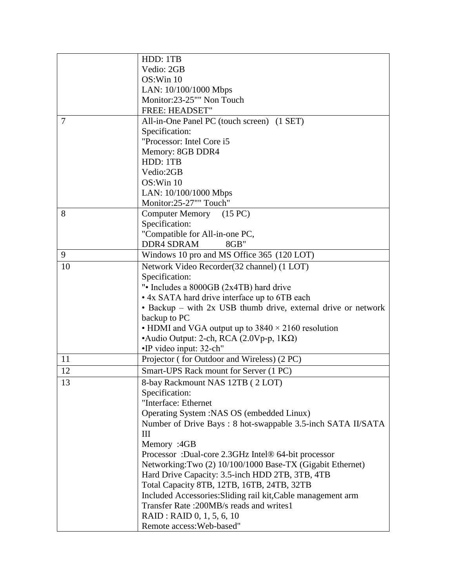|                | HDD: 1TB                                                      |
|----------------|---------------------------------------------------------------|
|                | Vedio: 2GB                                                    |
|                | OS:Win 10                                                     |
|                | LAN: 10/100/1000 Mbps                                         |
|                | Monitor:23-25"" Non Touch                                     |
|                | <b>FREE: HEADSET"</b>                                         |
| $\overline{7}$ | All-in-One Panel PC (touch screen) (1 SET)                    |
|                | Specification:                                                |
|                | "Processor: Intel Core i5                                     |
|                | Memory: 8GB DDR4                                              |
|                | HDD: 1TB                                                      |
|                | Vedio:2GB                                                     |
|                | OS:Win 10                                                     |
|                | LAN: 10/100/1000 Mbps                                         |
|                | Monitor:25-27"" Touch"                                        |
| 8              | Computer Memory (15 PC)                                       |
|                | Specification:                                                |
|                | "Compatible for All-in-one PC,                                |
|                | <b>DDR4 SDRAM</b><br>8GB"                                     |
| 9              | Windows 10 pro and MS Office 365 (120 LOT)                    |
| 10             | Network Video Recorder (32 channel) (1 LOT)                   |
|                | Specification:                                                |
|                | ". Includes a 8000GB (2x4TB) hard drive                       |
|                | • 4x SATA hard drive interface up to 6TB each                 |
|                | • Backup – with 2x USB thumb drive, external drive or network |
|                | backup to PC                                                  |
|                | • HDMI and VGA output up to $3840 \times 2160$ resolution     |
|                | • Audio Output: 2-ch, RCA $(2.0Vp-p, 1K\Omega)$               |
|                | •IP video input: 32-ch"                                       |
| <sup>11</sup>  | Projector (for Outdoor and Wireless) (2 PC)                   |
| 12             | Smart-UPS Rack mount for Server (1 PC)                        |
| 13             | 8-bay Rackmount NAS 12TB (2 LOT)                              |
|                | Specification:                                                |
|                | "Interface: Ethernet                                          |
|                | Operating System : NAS OS (embedded Linux)                    |
|                | Number of Drive Bays: 8 hot-swappable 3.5-inch SATA II/SATA   |
|                | Ш                                                             |
|                | Memory :4GB                                                   |
|                | Processor: Dual-core 2.3GHz Intel® 64-bit processor           |
|                | Networking:Two (2) 10/100/1000 Base-TX (Gigabit Ethernet)     |
|                | Hard Drive Capacity: 3.5-inch HDD 2TB, 3TB, 4TB               |
|                | Total Capacity 8TB, 12TB, 16TB, 24TB, 32TB                    |
|                | Included Accessories: Sliding rail kit, Cable management arm  |
|                | Transfer Rate: 200MB/s reads and writes1                      |
|                | RAID: RAID 0, 1, 5, 6, 10                                     |
|                | Remote access: Web-based"                                     |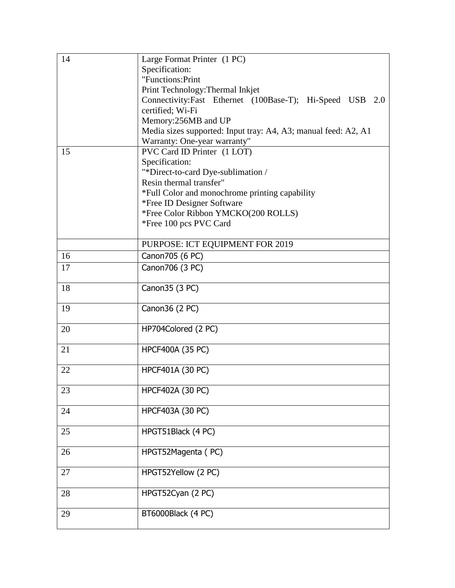| 14 | Large Format Printer (1 PC)                                    |
|----|----------------------------------------------------------------|
|    | Specification:                                                 |
|    | "Functions: Print                                              |
|    | Print Technology: Thermal Inkjet                               |
|    | Connectivity:Fast Ethernet (100Base-T); Hi-Speed USB 2.0       |
|    | certified; Wi-Fi                                               |
|    | Memory:256MB and UP                                            |
|    | Media sizes supported: Input tray: A4, A3; manual feed: A2, A1 |
|    | Warranty: One-year warranty"                                   |
| 15 | PVC Card ID Printer (1 LOT)                                    |
|    | Specification:                                                 |
|    | "*Direct-to-card Dye-sublimation /                             |
|    | Resin thermal transfer"                                        |
|    | *Full Color and monochrome printing capability                 |
|    | *Free ID Designer Software                                     |
|    | *Free Color Ribbon YMCKO(200 ROLLS)                            |
|    | *Free 100 pcs PVC Card                                         |
|    |                                                                |
|    | PURPOSE: ICT EQUIPMENT FOR 2019                                |
| 16 | Canon705 (6 PC)                                                |
| 17 | Canon706 (3 PC)                                                |
|    |                                                                |
| 18 | Canon 35 (3 PC)                                                |
|    |                                                                |
| 19 | Canon 36 (2 PC)                                                |
|    |                                                                |
| 20 | HP704Colored (2 PC)                                            |
|    |                                                                |
| 21 | <b>HPCF400A (35 PC)</b>                                        |
|    |                                                                |
| 22 | HPCF401A (30 PC)                                               |
|    |                                                                |
| 23 | HPCF402A (30 PC)                                               |
|    |                                                                |
| 24 | HPCF403A (30 PC)                                               |
|    |                                                                |
| 25 | HPGT51Black (4 PC)                                             |
|    |                                                                |
| 26 | HPGT52Magenta (PC)                                             |
|    |                                                                |
| 27 | HPGT52Yellow (2 PC)                                            |
|    |                                                                |
| 28 | HPGT52Cyan (2 PC)                                              |
|    |                                                                |
| 29 | BT6000Black (4 PC)                                             |
|    |                                                                |